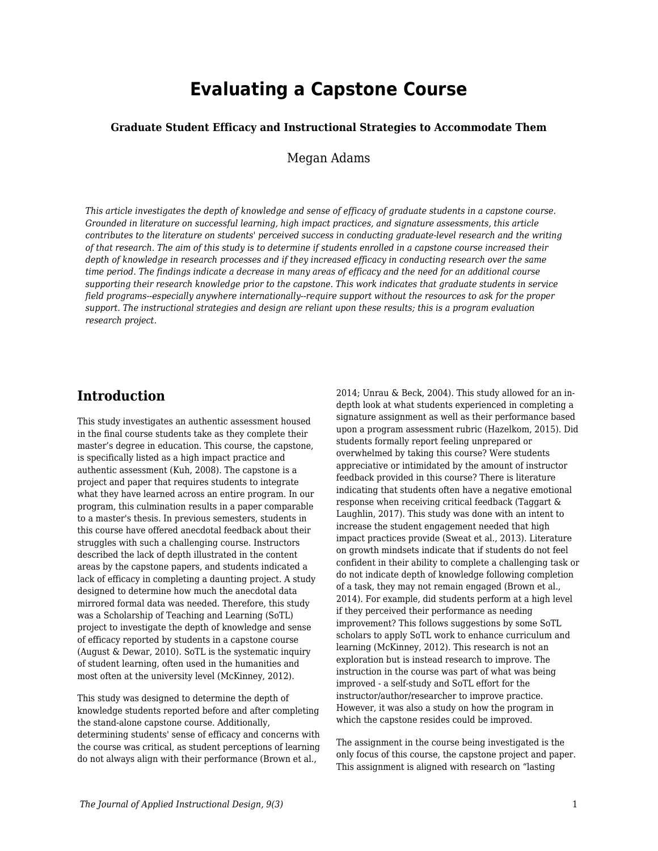# **Evaluating a Capstone Course**

### **Graduate Student Efficacy and Instructional Strategies to Accommodate Them**

Megan Adams

*This article investigates the depth of knowledge and sense of efficacy of graduate students in a capstone course. Grounded in literature on successful learning, high impact practices, and signature assessments, this article contributes to the literature on students' perceived success in conducting graduate-level research and the writing of that research. The aim of this study is to determine if students enrolled in a capstone course increased their depth of knowledge in research processes and if they increased efficacy in conducting research over the same time period. The findings indicate a decrease in many areas of efficacy and the need for an additional course supporting their research knowledge prior to the capstone. This work indicates that graduate students in service field programs--especially anywhere internationally--require support without the resources to ask for the proper support. The instructional strategies and design are reliant upon these results; this is a program evaluation research project.*

## **Introduction**

This study investigates an authentic assessment housed in the final course students take as they complete their master's degree in education. This course, the capstone, is specifically listed as a high impact practice and authentic assessment (Kuh, 2008). The capstone is a project and paper that requires students to integrate what they have learned across an entire program. In our program, this culmination results in a paper comparable to a master's thesis. In previous semesters, students in this course have offered anecdotal feedback about their struggles with such a challenging course. Instructors described the lack of depth illustrated in the content areas by the capstone papers, and students indicated a lack of efficacy in completing a daunting project. A study designed to determine how much the anecdotal data mirrored formal data was needed. Therefore, this study was a Scholarship of Teaching and Learning (SoTL) project to investigate the depth of knowledge and sense of efficacy reported by students in a capstone course (August & Dewar, 2010). SoTL is the systematic inquiry of student learning, often used in the humanities and most often at the university level (McKinney, 2012).

This study was designed to determine the depth of knowledge students reported before and after completing the stand-alone capstone course. Additionally, determining students' sense of efficacy and concerns with the course was critical, as student perceptions of learning do not always align with their performance (Brown et al.,

2014; Unrau & Beck, 2004). This study allowed for an indepth look at what students experienced in completing a signature assignment as well as their performance based upon a program assessment rubric (Hazelkom, 2015). Did students formally report feeling unprepared or overwhelmed by taking this course? Were students appreciative or intimidated by the amount of instructor feedback provided in this course? There is literature indicating that students often have a negative emotional response when receiving critical feedback (Taggart & Laughlin, 2017). This study was done with an intent to increase the student engagement needed that high impact practices provide (Sweat et al., 2013). Literature on growth mindsets indicate that if students do not feel confident in their ability to complete a challenging task or do not indicate depth of knowledge following completion of a task, they may not remain engaged (Brown et al., 2014). For example, did students perform at a high level if they perceived their performance as needing improvement? This follows suggestions by some SoTL scholars to apply SoTL work to enhance curriculum and learning (McKinney, 2012). This research is not an exploration but is instead research to improve. The instruction in the course was part of what was being improved - a self-study and SoTL effort for the instructor/author/researcher to improve practice. However, it was also a study on how the program in which the capstone resides could be improved.

The assignment in the course being investigated is the only focus of this course, the capstone project and paper. This assignment is aligned with research on "lasting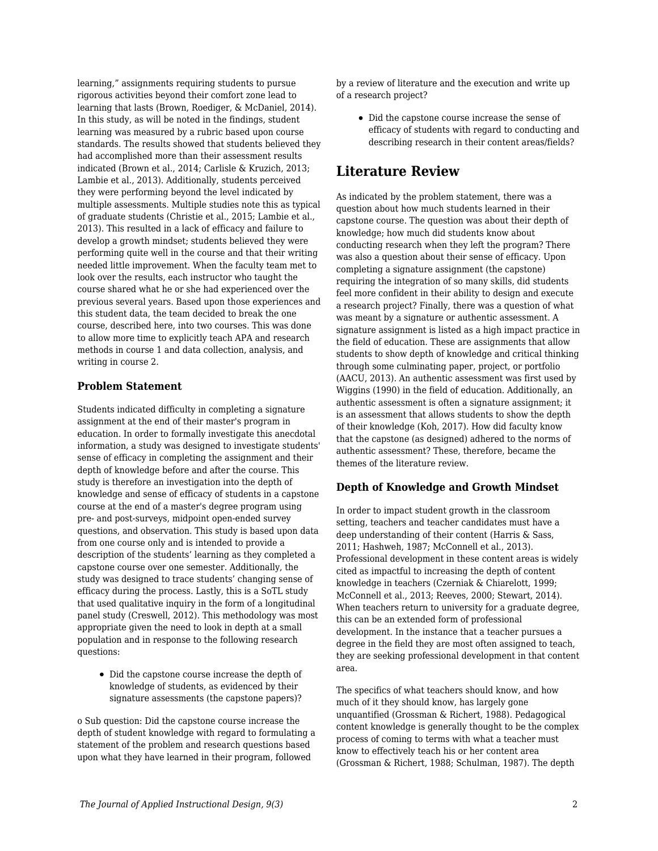learning," assignments requiring students to pursue rigorous activities beyond their comfort zone lead to learning that lasts (Brown, Roediger, & McDaniel, 2014). In this study, as will be noted in the findings, student learning was measured by a rubric based upon course standards. The results showed that students believed they had accomplished more than their assessment results indicated (Brown et al., 2014; Carlisle & Kruzich, 2013; Lambie et al., 2013). Additionally, students perceived they were performing beyond the level indicated by multiple assessments. Multiple studies note this as typical of graduate students (Christie et al., 2015; Lambie et al., 2013). This resulted in a lack of efficacy and failure to develop a growth mindset; students believed they were performing quite well in the course and that their writing needed little improvement. When the faculty team met to look over the results, each instructor who taught the course shared what he or she had experienced over the previous several years. Based upon those experiences and this student data, the team decided to break the one course, described here, into two courses. This was done to allow more time to explicitly teach APA and research methods in course 1 and data collection, analysis, and writing in course 2.

## **Problem Statement**

Students indicated difficulty in completing a signature assignment at the end of their master's program in education. In order to formally investigate this anecdotal information, a study was designed to investigate students' sense of efficacy in completing the assignment and their depth of knowledge before and after the course. This study is therefore an investigation into the depth of knowledge and sense of efficacy of students in a capstone course at the end of a master's degree program using pre- and post-surveys, midpoint open-ended survey questions, and observation. This study is based upon data from one course only and is intended to provide a description of the students' learning as they completed a capstone course over one semester. Additionally, the study was designed to trace students' changing sense of efficacy during the process. Lastly, this is a SoTL study that used qualitative inquiry in the form of a longitudinal panel study (Creswell, 2012). This methodology was most appropriate given the need to look in depth at a small population and in response to the following research questions:

Did the capstone course increase the depth of knowledge of students, as evidenced by their signature assessments (the capstone papers)?

o Sub question: Did the capstone course increase the depth of student knowledge with regard to formulating a statement of the problem and research questions based upon what they have learned in their program, followed

by a review of literature and the execution and write up of a research project?

Did the capstone course increase the sense of efficacy of students with regard to conducting and describing research in their content areas/fields?

## **Literature Review**

As indicated by the problem statement, there was a question about how much students learned in their capstone course. The question was about their depth of knowledge; how much did students know about conducting research when they left the program? There was also a question about their sense of efficacy. Upon completing a signature assignment (the capstone) requiring the integration of so many skills, did students feel more confident in their ability to design and execute a research project? Finally, there was a question of what was meant by a signature or authentic assessment. A signature assignment is listed as a high impact practice in the field of education. These are assignments that allow students to show depth of knowledge and critical thinking through some culminating paper, project, or portfolio (AACU, 2013). An authentic assessment was first used by Wiggins (1990) in the field of education. Additionally, an authentic assessment is often a signature assignment; it is an assessment that allows students to show the depth of their knowledge (Koh, 2017). How did faculty know that the capstone (as designed) adhered to the norms of authentic assessment? These, therefore, became the themes of the literature review.

## **Depth of Knowledge and Growth Mindset**

In order to impact student growth in the classroom setting, teachers and teacher candidates must have a deep understanding of their content (Harris & Sass, 2011; Hashweh, 1987; McConnell et al., 2013). Professional development in these content areas is widely cited as impactful to increasing the depth of content knowledge in teachers (Czerniak & Chiarelott, 1999; McConnell et al., 2013; Reeves, 2000; Stewart, 2014). When teachers return to university for a graduate degree, this can be an extended form of professional development. In the instance that a teacher pursues a degree in the field they are most often assigned to teach, they are seeking professional development in that content area.

The specifics of what teachers should know, and how much of it they should know, has largely gone unquantified (Grossman & Richert, 1988). Pedagogical content knowledge is generally thought to be the complex process of coming to terms with what a teacher must know to effectively teach his or her content area (Grossman & Richert, 1988; Schulman, 1987). The depth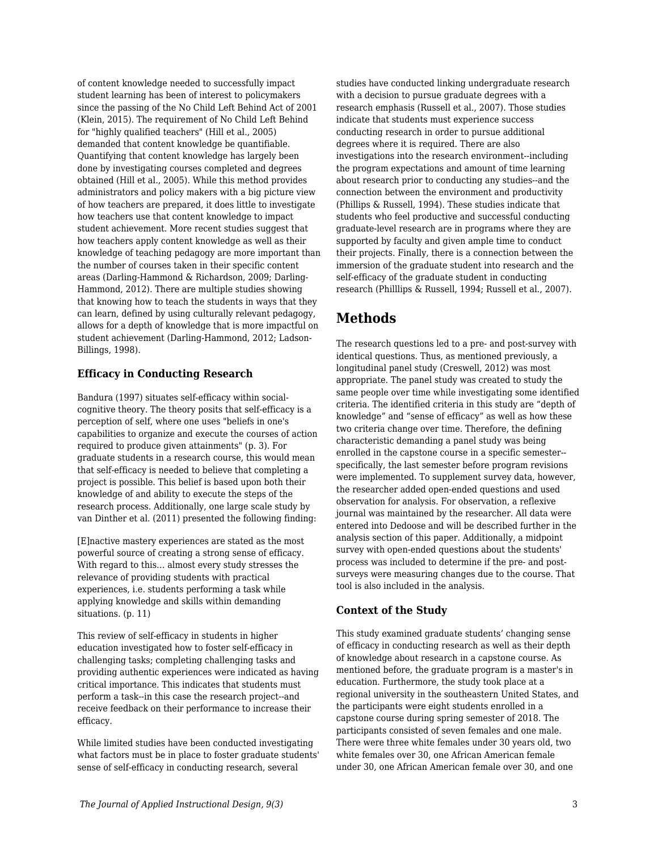of content knowledge needed to successfully impact student learning has been of interest to policymakers since the passing of the No Child Left Behind Act of 2001 (Klein, 2015). The requirement of No Child Left Behind for "highly qualified teachers" (Hill et al., 2005) demanded that content knowledge be quantifiable. Quantifying that content knowledge has largely been done by investigating courses completed and degrees obtained (Hill et al., 2005). While this method provides administrators and policy makers with a big picture view of how teachers are prepared, it does little to investigate how teachers use that content knowledge to impact student achievement. More recent studies suggest that how teachers apply content knowledge as well as their knowledge of teaching pedagogy are more important than the number of courses taken in their specific content areas (Darling-Hammond & Richardson, 2009; Darling-Hammond, 2012). There are multiple studies showing that knowing how to teach the students in ways that they can learn, defined by using culturally relevant pedagogy, allows for a depth of knowledge that is more impactful on student achievement (Darling-Hammond, 2012; Ladson-Billings, 1998).

## **Efficacy in Conducting Research**

Bandura (1997) situates self-efficacy within socialcognitive theory. The theory posits that self-efficacy is a perception of self, where one uses "beliefs in one's capabilities to organize and execute the courses of action required to produce given attainments" (p. 3). For graduate students in a research course, this would mean that self-efficacy is needed to believe that completing a project is possible. This belief is based upon both their knowledge of and ability to execute the steps of the research process. Additionally, one large scale study by van Dinther et al. (2011) presented the following finding:

[E]nactive mastery experiences are stated as the most powerful source of creating a strong sense of efficacy. With regard to this... almost every study stresses the relevance of providing students with practical experiences, i.e. students performing a task while applying knowledge and skills within demanding situations. (p. 11)

This review of self-efficacy in students in higher education investigated how to foster self-efficacy in challenging tasks; completing challenging tasks and providing authentic experiences were indicated as having critical importance. This indicates that students must perform a task--in this case the research project--and receive feedback on their performance to increase their efficacy.

While limited studies have been conducted investigating what factors must be in place to foster graduate students' sense of self-efficacy in conducting research, several

studies have conducted linking undergraduate research with a decision to pursue graduate degrees with a research emphasis (Russell et al., 2007). Those studies indicate that students must experience success conducting research in order to pursue additional degrees where it is required. There are also investigations into the research environment--including the program expectations and amount of time learning about research prior to conducting any studies--and the connection between the environment and productivity (Phillips & Russell, 1994). These studies indicate that students who feel productive and successful conducting graduate-level research are in programs where they are supported by faculty and given ample time to conduct their projects. Finally, there is a connection between the immersion of the graduate student into research and the self-efficacy of the graduate student in conducting research (Philllips & Russell, 1994; Russell et al., 2007).

## **Methods**

The research questions led to a pre- and post-survey with identical questions. Thus, as mentioned previously, a longitudinal panel study (Creswell, 2012) was most appropriate. The panel study was created to study the same people over time while investigating some identified criteria. The identified criteria in this study are "depth of knowledge" and "sense of efficacy" as well as how these two criteria change over time. Therefore, the defining characteristic demanding a panel study was being enrolled in the capstone course in a specific semester- specifically, the last semester before program revisions were implemented. To supplement survey data, however, the researcher added open-ended questions and used observation for analysis. For observation, a reflexive journal was maintained by the researcher. All data were entered into Dedoose and will be described further in the analysis section of this paper. Additionally, a midpoint survey with open-ended questions about the students' process was included to determine if the pre- and postsurveys were measuring changes due to the course. That tool is also included in the analysis.

## **Context of the Study**

This study examined graduate students' changing sense of efficacy in conducting research as well as their depth of knowledge about research in a capstone course. As mentioned before, the graduate program is a master's in education. Furthermore, the study took place at a regional university in the southeastern United States, and the participants were eight students enrolled in a capstone course during spring semester of 2018. The participants consisted of seven females and one male. There were three white females under 30 years old, two white females over 30, one African American female under 30, one African American female over 30, and one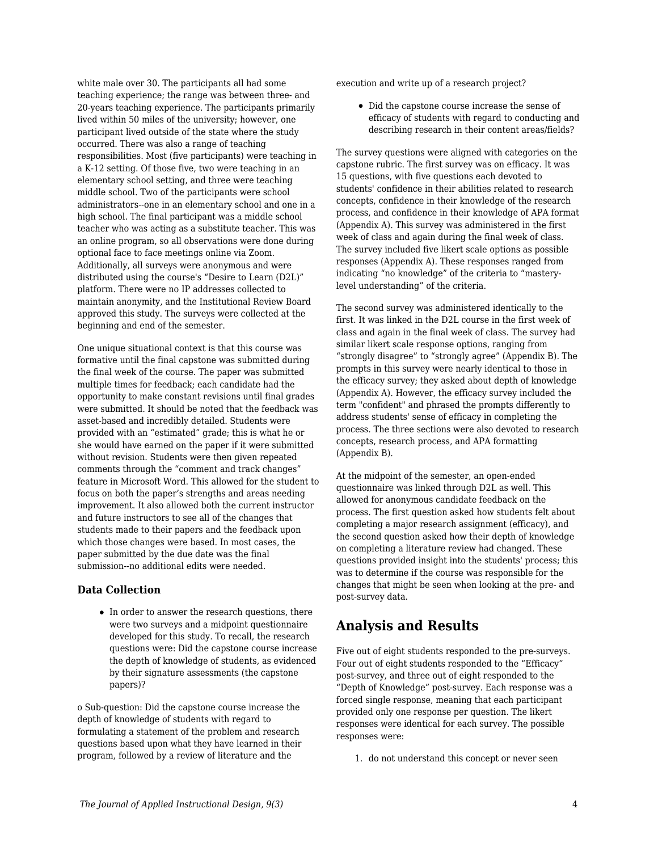white male over 30. The participants all had some teaching experience; the range was between three- and 20-years teaching experience. The participants primarily lived within 50 miles of the university; however, one participant lived outside of the state where the study occurred. There was also a range of teaching responsibilities. Most (five participants) were teaching in a K-12 setting. Of those five, two were teaching in an elementary school setting, and three were teaching middle school. Two of the participants were school administrators--one in an elementary school and one in a high school. The final participant was a middle school teacher who was acting as a substitute teacher. This was an online program, so all observations were done during optional face to face meetings online via Zoom. Additionally, all surveys were anonymous and were distributed using the course's "Desire to Learn (D2L)" platform. There were no IP addresses collected to maintain anonymity, and the Institutional Review Board approved this study. The surveys were collected at the beginning and end of the semester.

One unique situational context is that this course was formative until the final capstone was submitted during the final week of the course. The paper was submitted multiple times for feedback; each candidate had the opportunity to make constant revisions until final grades were submitted. It should be noted that the feedback was asset-based and incredibly detailed. Students were provided with an "estimated" grade; this is what he or she would have earned on the paper if it were submitted without revision. Students were then given repeated comments through the "comment and track changes" feature in Microsoft Word. This allowed for the student to focus on both the paper's strengths and areas needing improvement. It also allowed both the current instructor and future instructors to see all of the changes that students made to their papers and the feedback upon which those changes were based. In most cases, the paper submitted by the due date was the final submission--no additional edits were needed.

## **Data Collection**

• In order to answer the research questions, there were two surveys and a midpoint questionnaire developed for this study. To recall, the research questions were: Did the capstone course increase the depth of knowledge of students, as evidenced by their signature assessments (the capstone papers)?

o Sub-question: Did the capstone course increase the depth of knowledge of students with regard to formulating a statement of the problem and research questions based upon what they have learned in their program, followed by a review of literature and the

execution and write up of a research project?

• Did the capstone course increase the sense of efficacy of students with regard to conducting and describing research in their content areas/fields?

The survey questions were aligned with categories on the capstone rubric. The first survey was on efficacy. It was 15 questions, with five questions each devoted to students' confidence in their abilities related to research concepts, confidence in their knowledge of the research process, and confidence in their knowledge of APA format (Appendix A). This survey was administered in the first week of class and again during the final week of class. The survey included five likert scale options as possible responses (Appendix A). These responses ranged from indicating "no knowledge" of the criteria to "masterylevel understanding" of the criteria.

The second survey was administered identically to the first. It was linked in the D2L course in the first week of class and again in the final week of class. The survey had similar likert scale response options, ranging from "strongly disagree" to "strongly agree" (Appendix B). The prompts in this survey were nearly identical to those in the efficacy survey; they asked about depth of knowledge (Appendix A). However, the efficacy survey included the term "confident" and phrased the prompts differently to address students' sense of efficacy in completing the process. The three sections were also devoted to research concepts, research process, and APA formatting (Appendix B).

At the midpoint of the semester, an open-ended questionnaire was linked through D2L as well. This allowed for anonymous candidate feedback on the process. The first question asked how students felt about completing a major research assignment (efficacy), and the second question asked how their depth of knowledge on completing a literature review had changed. These questions provided insight into the students' process; this was to determine if the course was responsible for the changes that might be seen when looking at the pre- and post-survey data.

## **Analysis and Results**

Five out of eight students responded to the pre-surveys. Four out of eight students responded to the "Efficacy" post-survey, and three out of eight responded to the "Depth of Knowledge" post-survey. Each response was a forced single response, meaning that each participant provided only one response per question. The likert responses were identical for each survey. The possible responses were:

1. do not understand this concept or never seen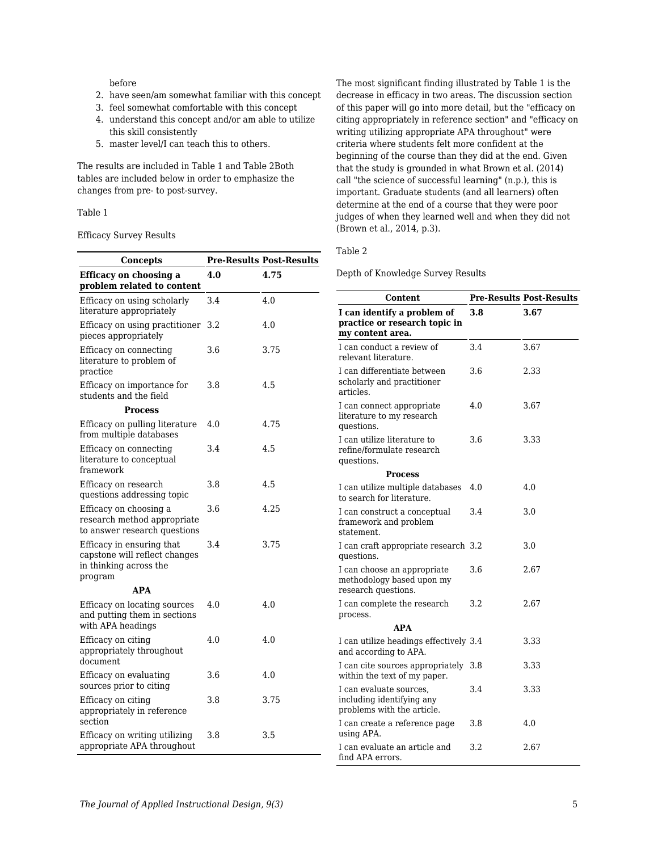### before

- 2. have seen/am somewhat familiar with this concept
- 3. feel somewhat comfortable with this concept
- 4. understand this concept and/or am able to utilize this skill consistently
- 5. master level/I can teach this to others.

The results are included in Table 1 and Table 2Both tables are included below in order to emphasize the changes from pre- to post-survey.

### Table 1

#### Efficacy Survey Results

| Concepts                                                                                        |     | <b>Pre-Results Post-Results</b> |
|-------------------------------------------------------------------------------------------------|-----|---------------------------------|
| <b>Efficacy on choosing a</b><br>problem related to content                                     | 4.0 | 4.75                            |
| Efficacy on using scholarly<br>literature appropriately                                         | 3.4 | 4.0                             |
| Efficacy on using practitioner<br>pieces appropriately                                          | 3.2 | 4.0                             |
| Efficacy on connecting<br>literature to problem of<br>practice                                  | 3.6 | 3.75                            |
| Efficacy on importance for<br>students and the field                                            | 3.8 | 4.5                             |
| <b>Process</b>                                                                                  |     |                                 |
| Efficacy on pulling literature<br>from multiple databases                                       | 4.0 | 4.75                            |
| Efficacy on connecting<br>literature to conceptual<br>framework                                 | 3.4 | 4.5                             |
| Efficacy on research<br>questions addressing topic                                              | 3.8 | 4.5                             |
| Efficacy on choosing a<br>research method appropriate<br>to answer research questions           | 3.6 | 4.25                            |
| Efficacy in ensuring that<br>capstone will reflect changes<br>in thinking across the<br>program | 3.4 | 3.75                            |
| <b>APA</b>                                                                                      |     |                                 |
| Efficacy on locating sources<br>and putting them in sections<br>with APA headings               | 4.0 | 4.0                             |
| Efficacy on citing<br>appropriately throughout<br>document                                      | 4.0 | 4.0                             |
| Efficacy on evaluating<br>sources prior to citing                                               | 3.6 | 4.0                             |
| Efficacy on citing<br>appropriately in reference<br>section                                     | 3.8 | 3.75                            |
| Efficacy on writing utilizing<br>appropriate APA throughout                                     | 3.8 | 3.5                             |

The most significant finding illustrated by Table 1 is the decrease in efficacy in two areas. The discussion section of this paper will go into more detail, but the "efficacy on citing appropriately in reference section" and "efficacy on writing utilizing appropriate APA throughout" were criteria where students felt more confident at the beginning of the course than they did at the end. Given that the study is grounded in what Brown et al. (2014) call "the science of successful learning" (n.p.), this is important. Graduate students (and all learners) often determine at the end of a course that they were poor judges of when they learned well and when they did not (Brown et al., 2014, p.3).

#### Table 2

Depth of Knowledge Survey Results

| <b>Content</b>                                                                     |     | <b>Pre-Results Post-Results</b> |
|------------------------------------------------------------------------------------|-----|---------------------------------|
| I can identify a problem of<br>practice or research topic in<br>my content area.   | 3.8 | 3.67                            |
| I can conduct a review of<br>relevant literature.                                  | 3.4 | 3.67                            |
| I can differentiate between<br>scholarly and practitioner<br>articles.             | 3.6 | 2.33                            |
| I can connect appropriate<br>literature to my research<br>questions.               | 4.0 | 3.67                            |
| I can utilize literature to<br>refine/formulate research<br>questions.             | 3.6 | 3.33                            |
| <b>Process</b>                                                                     |     |                                 |
| I can utilize multiple databases<br>to search for literature.                      | 4.0 | 4.0                             |
| I can construct a conceptual<br>framework and problem<br>statement.                | 3.4 | 3.0                             |
| I can craft appropriate research 3.2<br>questions.                                 |     | 3.0                             |
| I can choose an appropriate<br>methodology based upon my<br>research questions.    | 3.6 | 2.67                            |
| I can complete the research<br>process.                                            | 3.2 | 2.67                            |
| <b>APA</b>                                                                         |     |                                 |
| I can utilize headings effectively 3.4<br>and according to APA.                    |     | 3.33                            |
| I can cite sources appropriately<br>within the text of my paper.                   | 3.8 | 3.33                            |
| I can evaluate sources,<br>including identifying any<br>problems with the article. | 3.4 | 3.33                            |
| I can create a reference page<br>using APA.                                        | 3.8 | 4.0                             |
| I can evaluate an article and<br>find APA errors.                                  | 3.2 | 2.67                            |

L,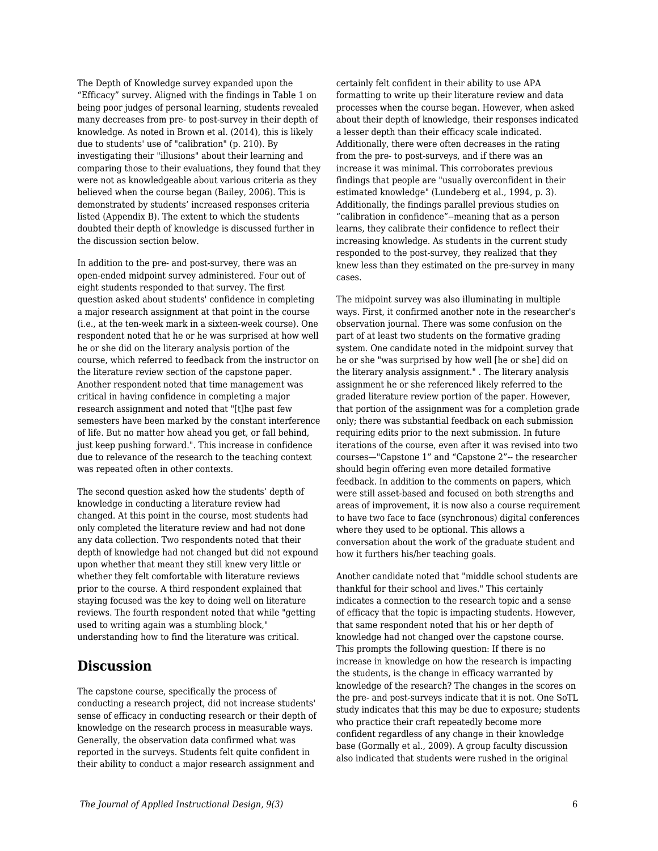The Depth of Knowledge survey expanded upon the "Efficacy" survey. Aligned with the findings in Table 1 on being poor judges of personal learning, students revealed many decreases from pre- to post-survey in their depth of knowledge. As noted in Brown et al. (2014), this is likely due to students' use of "calibration" (p. 210). By investigating their "illusions" about their learning and comparing those to their evaluations, they found that they were not as knowledgeable about various criteria as they believed when the course began (Bailey, 2006). This is demonstrated by students' increased responses criteria listed (Appendix B). The extent to which the students doubted their depth of knowledge is discussed further in the discussion section below.

In addition to the pre- and post-survey, there was an open-ended midpoint survey administered. Four out of eight students responded to that survey. The first question asked about students' confidence in completing a major research assignment at that point in the course (i.e., at the ten-week mark in a sixteen-week course). One respondent noted that he or he was surprised at how well he or she did on the literary analysis portion of the course, which referred to feedback from the instructor on the literature review section of the capstone paper. Another respondent noted that time management was critical in having confidence in completing a major research assignment and noted that "[t]he past few semesters have been marked by the constant interference of life. But no matter how ahead you get, or fall behind, just keep pushing forward.". This increase in confidence due to relevance of the research to the teaching context was repeated often in other contexts.

The second question asked how the students' depth of knowledge in conducting a literature review had changed. At this point in the course, most students had only completed the literature review and had not done any data collection. Two respondents noted that their depth of knowledge had not changed but did not expound upon whether that meant they still knew very little or whether they felt comfortable with literature reviews prior to the course. A third respondent explained that staying focused was the key to doing well on literature reviews. The fourth respondent noted that while "getting used to writing again was a stumbling block," understanding how to find the literature was critical.

## **Discussion**

The capstone course, specifically the process of conducting a research project, did not increase students' sense of efficacy in conducting research or their depth of knowledge on the research process in measurable ways. Generally, the observation data confirmed what was reported in the surveys. Students felt quite confident in their ability to conduct a major research assignment and

certainly felt confident in their ability to use APA formatting to write up their literature review and data processes when the course began. However, when asked about their depth of knowledge, their responses indicated a lesser depth than their efficacy scale indicated. Additionally, there were often decreases in the rating from the pre- to post-surveys, and if there was an increase it was minimal. This corroborates previous findings that people are "usually overconfident in their estimated knowledge" (Lundeberg et al., 1994, p. 3). Additionally, the findings parallel previous studies on "calibration in confidence"--meaning that as a person learns, they calibrate their confidence to reflect their increasing knowledge. As students in the current study responded to the post-survey, they realized that they knew less than they estimated on the pre-survey in many cases.

The midpoint survey was also illuminating in multiple ways. First, it confirmed another note in the researcher's observation journal. There was some confusion on the part of at least two students on the formative grading system. One candidate noted in the midpoint survey that he or she "was surprised by how well [he or she] did on the literary analysis assignment." . The literary analysis assignment he or she referenced likely referred to the graded literature review portion of the paper. However, that portion of the assignment was for a completion grade only; there was substantial feedback on each submission requiring edits prior to the next submission. In future iterations of the course, even after it was revised into two courses—"Capstone 1" and "Capstone 2"-- the researcher should begin offering even more detailed formative feedback. In addition to the comments on papers, which were still asset-based and focused on both strengths and areas of improvement, it is now also a course requirement to have two face to face (synchronous) digital conferences where they used to be optional. This allows a conversation about the work of the graduate student and how it furthers his/her teaching goals.

Another candidate noted that "middle school students are thankful for their school and lives." This certainly indicates a connection to the research topic and a sense of efficacy that the topic is impacting students. However, that same respondent noted that his or her depth of knowledge had not changed over the capstone course. This prompts the following question: If there is no increase in knowledge on how the research is impacting the students, is the change in efficacy warranted by knowledge of the research? The changes in the scores on the pre- and post-surveys indicate that it is not. One SoTL study indicates that this may be due to exposure; students who practice their craft repeatedly become more confident regardless of any change in their knowledge base (Gormally et al., 2009). A group faculty discussion also indicated that students were rushed in the original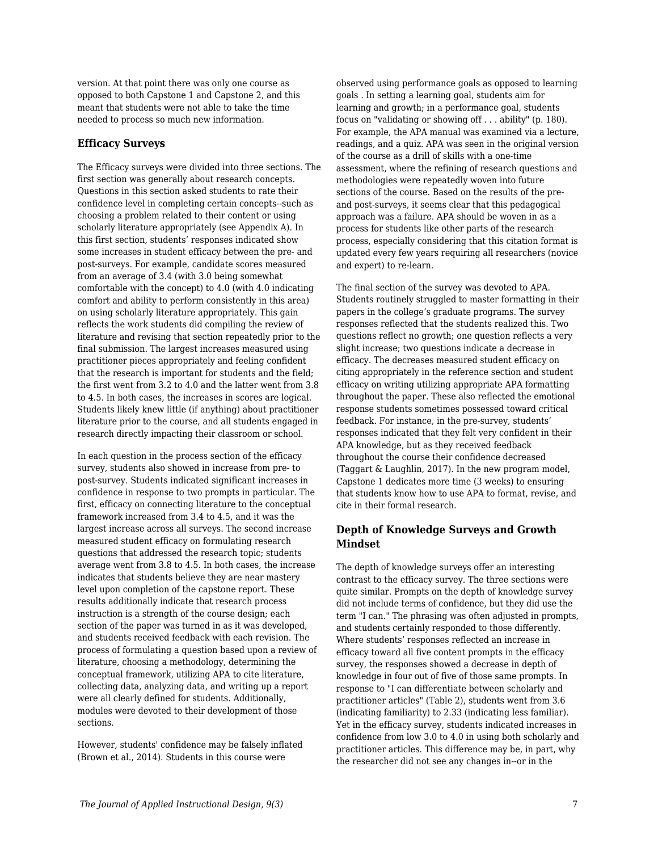version. At that point there was only one course as opposed to both Capstone 1 and Capstone 2, and this meant that students were not able to take the time needed to process so much new information.

## **Efficacy Surveys**

The Efficacy surveys were divided into three sections. The first section was generally about research concepts. Questions in this section asked students to rate their confidence level in completing certain concepts--such as choosing a problem related to their content or using scholarly literature appropriately (see Appendix A). In this first section, students' responses indicated show some increases in student efficacy between the pre- and post-surveys. For example, candidate scores measured from an average of 3.4 (with 3.0 being somewhat comfortable with the concept) to 4.0 (with 4.0 indicating comfort and ability to perform consistently in this area) on using scholarly literature appropriately. This gain reflects the work students did compiling the review of literature and revising that section repeatedly prior to the final submission. The largest increases measured using practitioner pieces appropriately and feeling confident that the research is important for students and the field; the first went from 3.2 to 4.0 and the latter went from 3.8 to 4.5. In both cases, the increases in scores are logical. Students likely knew little (if anything) about practitioner literature prior to the course, and all students engaged in research directly impacting their classroom or school.

In each question in the process section of the efficacy survey, students also showed in increase from pre- to post-survey. Students indicated significant increases in confidence in response to two prompts in particular. The first, efficacy on connecting literature to the conceptual framework increased from 3.4 to 4.5, and it was the largest increase across all surveys. The second increase measured student efficacy on formulating research questions that addressed the research topic; students average went from 3.8 to 4.5. In both cases, the increase indicates that students believe they are near mastery level upon completion of the capstone report. These results additionally indicate that research process instruction is a strength of the course design; each section of the paper was turned in as it was developed, and students received feedback with each revision. The process of formulating a question based upon a review of literature, choosing a methodology, determining the conceptual framework, utilizing APA to cite literature, collecting data, analyzing data, and writing up a report were all clearly defined for students. Additionally, modules were devoted to their development of those sections.

However, students' confidence may be falsely inflated (Brown et al., 2014). Students in this course were

observed using performance goals as opposed to learning goals . In setting a learning goal, students aim for learning and growth; in a performance goal, students focus on "validating or showing off . . . ability" (p. 180). For example, the APA manual was examined via a lecture, readings, and a quiz. APA was seen in the original version of the course as a drill of skills with a one-time assessment, where the refining of research questions and methodologies were repeatedly woven into future sections of the course. Based on the results of the preand post-surveys, it seems clear that this pedagogical approach was a failure. APA should be woven in as a process for students like other parts of the research process, especially considering that this citation format is updated every few years requiring all researchers (novice and expert) to re-learn.

The final section of the survey was devoted to APA. Students routinely struggled to master formatting in their papers in the college's graduate programs. The survey responses reflected that the students realized this. Two questions reflect no growth; one question reflects a very slight increase; two questions indicate a decrease in efficacy. The decreases measured student efficacy on citing appropriately in the reference section and student efficacy on writing utilizing appropriate APA formatting throughout the paper. These also reflected the emotional response students sometimes possessed toward critical feedback. For instance, in the pre-survey, students' responses indicated that they felt very confident in their APA knowledge, but as they received feedback throughout the course their confidence decreased (Taggart & Laughlin, 2017). In the new program model, Capstone 1 dedicates more time (3 weeks) to ensuring that students know how to use APA to format, revise, and cite in their formal research.

## **Depth of Knowledge Surveys and Growth Mindset**

The depth of knowledge surveys offer an interesting contrast to the efficacy survey. The three sections were quite similar. Prompts on the depth of knowledge survey did not include terms of confidence, but they did use the term "I can." The phrasing was often adjusted in prompts, and students certainly responded to those differently. Where students' responses reflected an increase in efficacy toward all five content prompts in the efficacy survey, the responses showed a decrease in depth of knowledge in four out of five of those same prompts. In response to "I can differentiate between scholarly and practitioner articles" (Table 2), students went from 3.6 (indicating familiarity) to 2.33 (indicating less familiar). Yet in the efficacy survey, students indicated increases in confidence from low 3.0 to 4.0 in using both scholarly and practitioner articles. This difference may be, in part, why the researcher did not see any changes in--or in the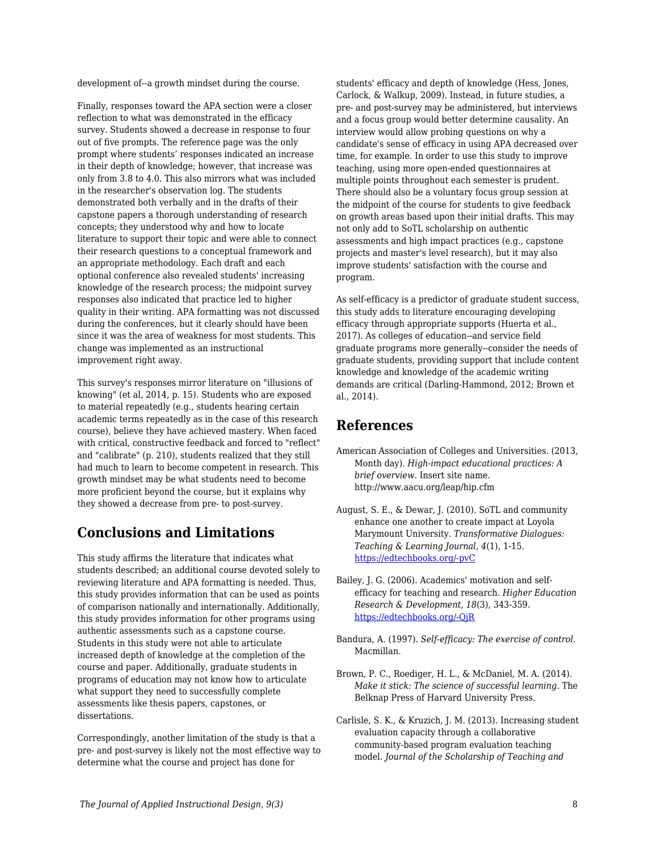development of--a growth mindset during the course.

Finally, responses toward the APA section were a closer reflection to what was demonstrated in the efficacy survey. Students showed a decrease in response to four out of five prompts. The reference page was the only prompt where students' responses indicated an increase in their depth of knowledge; however, that increase was only from 3.8 to 4.0. This also mirrors what was included in the researcher's observation log. The students demonstrated both verbally and in the drafts of their capstone papers a thorough understanding of research concepts; they understood why and how to locate literature to support their topic and were able to connect their research questions to a conceptual framework and an appropriate methodology. Each draft and each optional conference also revealed students' increasing knowledge of the research process; the midpoint survey responses also indicated that practice led to higher quality in their writing. APA formatting was not discussed during the conferences, but it clearly should have been since it was the area of weakness for most students. This change was implemented as an instructional improvement right away.

This survey's responses mirror literature on "illusions of knowing" (et al, 2014, p. 15). Students who are exposed to material repeatedly (e.g., students hearing certain academic terms repeatedly as in the case of this research course), believe they have achieved mastery. When faced with critical, constructive feedback and forced to "reflect" and "calibrate" (p. 210), students realized that they still had much to learn to become competent in research. This growth mindset may be what students need to become more proficient beyond the course, but it explains why they showed a decrease from pre- to post-survey.

## **Conclusions and Limitations**

This study affirms the literature that indicates what students described; an additional course devoted solely to reviewing literature and APA formatting is needed. Thus, this study provides information that can be used as points of comparison nationally and internationally. Additionally, this study provides information for other programs using authentic assessments such as a capstone course. Students in this study were not able to articulate increased depth of knowledge at the completion of the course and paper. Additionally, graduate students in programs of education may not know how to articulate what support they need to successfully complete assessments like thesis papers, capstones, or dissertations.

Correspondingly, another limitation of the study is that a pre- and post-survey is likely not the most effective way to determine what the course and project has done for

students' efficacy and depth of knowledge (Hess, Jones, Carlock, & Walkup, 2009). Instead, in future studies, a pre- and post-survey may be administered, but interviews and a focus group would better determine causality. An interview would allow probing questions on why a candidate's sense of efficacy in using APA decreased over time, for example. In order to use this study to improve teaching, using more open-ended questionnaires at multiple points throughout each semester is prudent. There should also be a voluntary focus group session at the midpoint of the course for students to give feedback on growth areas based upon their initial drafts. This may not only add to SoTL scholarship on authentic assessments and high impact practices (e.g., capstone projects and master's level research), but it may also improve students' satisfaction with the course and program.

As self-efficacy is a predictor of graduate student success, this study adds to literature encouraging developing efficacy through appropriate supports (Huerta et al., 2017). As colleges of education--and service field graduate programs more generally--consider the needs of graduate students, providing support that include content knowledge and knowledge of the academic writing demands are critical (Darling-Hammond, 2012; Brown et al., 2014).

## **References**

- American Association of Colleges and Universities. (2013, Month day). *High-impact educational practices: A brief overview*. Insert site name. http://www.aacu.org/leap/hip.cfm
- August, S. E., & Dewar, J. (2010). SoTL and community enhance one another to create impact at Loyola Marymount University. *Transformative Dialogues: Teaching & Learning Journal, 4*(1), 1-15. [https://edtechbooks.org/-pvC](https://www.kpu.ca/sites/default/files/Teaching%20and%20Learning/TD.4.1.5_August%26Dewar_SoTL%26Community_Enhance_One_Another.pdf)
- Bailey, J. G. (2006). Academics' motivation and selfefficacy for teaching and research. *Higher Education Research & Development, 18*(3), 343-359. [https://edtechbooks.org/-QjR](https://doi.org/10.1080/0729436990180305)
- Bandura, A. (1997). *Self-efficacy: The exercise of control.* Macmillan.
- Brown, P. C., Roediger, H. L., & McDaniel, M. A. (2014). *Make it stick: The science of successful learning.* The Belknap Press of Harvard University Press.
- Carlisle, S. K., & Kruzich, J. M. (2013). Increasing student evaluation capacity through a collaborative community-based program evaluation teaching model. *Journal of the Scholarship of Teaching and*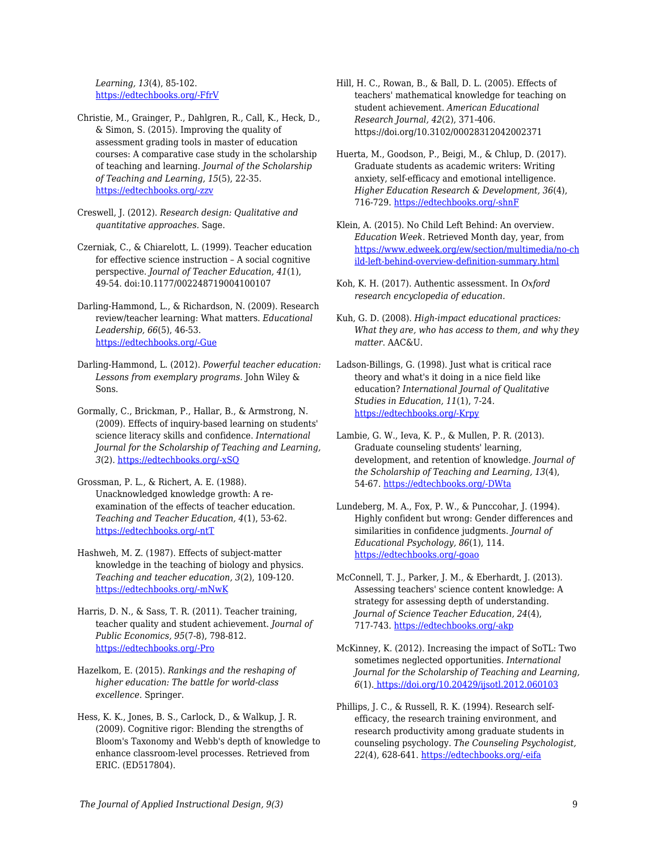*Learning, 13*(4), 85-102. [https://edtechbooks.org/-FfrV](https://scholarworks.iu.edu/journals/index.php/josotl/article/view/3176)

- Christie, M., Grainger, P., Dahlgren, R., Call, K., Heck, D., & Simon, S. (2015). Improving the quality of assessment grading tools in master of education courses: A comparative case study in the scholarship of teaching and learning. *Journal of the Scholarship of Teaching and Learning, 15*(5), 22-35. [https://edtechbooks.org/-zzv](https://scholarworks.iu.edu/journals/index.php/josotl/article/view/13783)
- Creswell, J. (2012). *Research design: Qualitative and quantitative approaches.* Sage.
- Czerniak, C., & Chiarelott, L. (1999). Teacher education for effective science instruction – A social cognitive perspective. *Journal of Teacher Education, 41*(1), 49-54. doi:10.1177/002248719004100107
- Darling-Hammond, L., & Richardson, N. (2009). Research review/teacher learning: What matters. *Educational Leadership, 66*(5), 46-53. [https://edtechbooks.org/-Gue](https://jorluiseptor.github.io/EQUIP1/suplemental_docs/PLC/Darling-Hammond,%20L.%20and%20Richardson,%20N.%20(2009).%20Teacher%20Learning.pdf)
- Darling-Hammond, L. (2012). *Powerful teacher education: Lessons from exemplary programs.* John Wiley & Sons.
- Gormally, C., Brickman, P., Hallar, B., & Armstrong, N. (2009). Effects of inquiry-based learning on students' science literacy skills and confidence. *International Journal for the Scholarship of Teaching and Learning, 3*(2). [https://edtechbooks.org/-xSQ](https://files.eric.ed.gov/fulltext/EJ1136707.pdf)
- Grossman, P. L., & Richert, A. E. (1988). Unacknowledged knowledge growth: A reexamination of the effects of teacher education. *Teaching and Teacher Education, 4*(1), 53-62. [https://edtechbooks.org/-ntT](http://doi.org/10.1016/0752-051X(88)90024-8)
- Hashweh, M. Z. (1987). Effects of subject-matter knowledge in the teaching of biology and physics. *Teaching and teacher education, 3*(2), 109-120. [https://edtechbooks.org/-mNwK](http://doi.org/10.1016/0742-051X(87)90012-6)
- Harris, D. N., & Sass, T. R. (2011). Teacher training, teacher quality and student achievement. *Journal of Public Economics, 95*(7-8), 798-812. [https://edtechbooks.org/-Pro](http://doi.org/10.1016/j.pubeco.2010.11.009)
- Hazelkom, E. (2015). *Rankings and the reshaping of higher education: The battle for world-class excellence.* Springer.
- Hess, K. K., Jones, B. S., Carlock, D., & Walkup, J. R. (2009). Cognitive rigor: Blending the strengths of Bloom's Taxonomy and Webb's depth of knowledge to enhance classroom-level processes. Retrieved from ERIC. (ED517804).
- Hill, H. C., Rowan, B., & Ball, D. L. (2005). Effects of teachers' mathematical knowledge for teaching on student achievement. *American Educational Research Journal, 42*(2), 371-406. https://doi.org/10.3102/00028312042002371
- Huerta, M., Goodson, P., Beigi, M., & Chlup, D. (2017). Graduate students as academic writers: Writing anxiety, self-efficacy and emotional intelligence. *Higher Education Research & Development, 36*(4), 716-729. [https://edtechbooks.org/-shnF](https://doi.org/10.1080/07294360.123881)
- Klein, A. (2015). No Child Left Behind: An overview. *Education Week*. Retrieved Month day, year, from [https://www.edweek.org/ew/section/multimedia/no-ch](https://www.edweek.org/ew/section/multimedia/no-child-left-behind-overview-definition-summary.html) [ild-left-behind-overview-definition-summary.html](https://www.edweek.org/ew/section/multimedia/no-child-left-behind-overview-definition-summary.html)
- Koh, K. H. (2017). Authentic assessment. In *Oxford research encyclopedia of education.*
- Kuh, G. D. (2008). *High-impact educational practices: What they are, who has access to them, and why they matter*. AAC&U.
- Ladson-Billings, G. (1998). Just what is critical race theory and what's it doing in a nice field like education? *International Journal of Qualitative Studies in Education, 11*(1), 7-24. [https://edtechbooks.org/-Krpy](https://doi.org/10.1080/095183998236863)
- Lambie, G. W., Ieva, K. P., & Mullen, P. R. (2013). Graduate counseling students' learning, development, and retention of knowledge. *Journal of the Scholarship of Teaching and Learning, 13*(4), 54-67. [https://edtechbooks.org/-DWta](https://scholarworks.iu.edu/journals/index.php/josotl/article/view/3284)
- Lundeberg, M. A., Fox, P. W., & Punccohar, J. (1994). Highly confident but wrong: Gender differences and similarities in confidence judgments. *Journal of Educational Psychology, 86*(1), 114. [https://edtechbooks.org/-goao](https://doi.org/10.1037/0022-0663.86.1.114)
- McConnell, T. J., Parker, J. M., & Eberhardt, J. (2013). Assessing teachers' science content knowledge: A strategy for assessing depth of understanding. *Journal of Science Teacher Education, 24*(4), 717-743. [https://edtechbooks.org/-akp](https://www.tandfonline.com/doi/pdf/10.1007/s10972-013-9342-3?casa_token=o9_BOlyBH0IAAAAA:JAsQhGGALFwzubzRQ7QqdE0OU1OIdcpE_heddqgbT0c4VWK0nqE2pfF7MMP7nMwunsGxp5ivsyVTlg)
- McKinney, K. (2012). Increasing the impact of SoTL: Two sometimes neglected opportunities. *International Journal for the Scholarship of Teaching and Learning, 6*(1)[. https://doi.org/10.20429/ijsotl.2012.060103](https://doi.org/10.20429/ijsotl.2012.060103)
- Phillips, J. C., & Russell, R. K. (1994). Research selfefficacy, the research training environment, and research productivity among graduate students in counseling psychology. *The Counseling Psychologist, 22*(4), 628-641. [https://edtechbooks.org/-eifa](https://doi.org/10.1177/0011000094224008)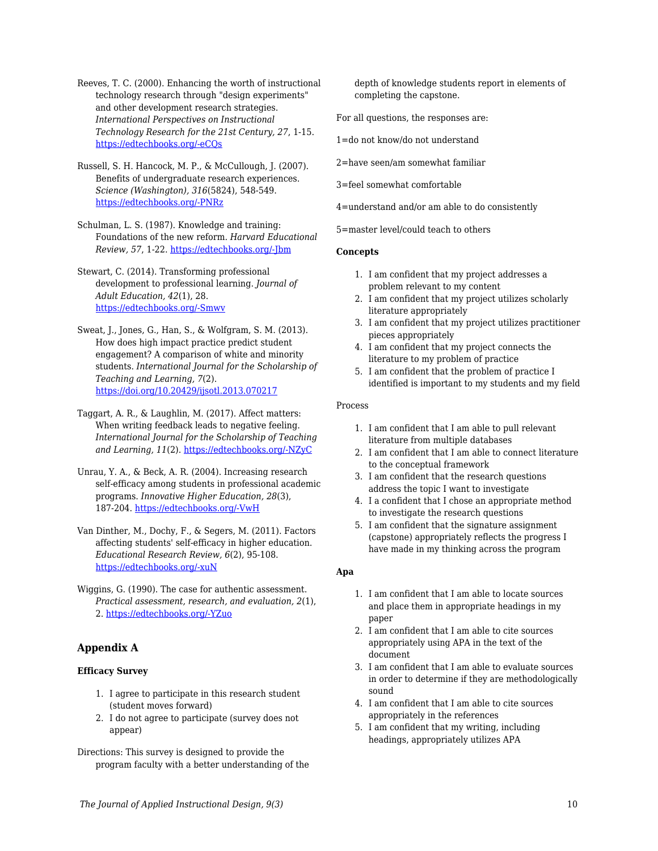Reeves, T. C. (2000). Enhancing the worth of instructional technology research through "design experiments" and other development research strategies. *International Perspectives on Instructional Technology Research for the 21st Century, 27*, 1-15. [https://edtechbooks.org/-eCQs](https://www.researchgate.net/profile/T_Reeves/publication/228467769_Enhancing_the_worth_of_instructional_technology_research_through_)

Russell, S. H. Hancock, M. P., & McCullough, J. (2007). Benefits of undergraduate research experiences. *Science (Washington), 316*(5824), 548-549. [https://edtechbooks.org/-PNRz](https://repositorio.upr.edu/bitstream/handle/11721/1920/benefitsofundegraduateresearchexperiencesScienceMay2007.pdf?sequence=1)

Schulman, L. S. (1987). Knowledge and training: Foundations of the new reform. *Harvard Educational Review, 57*, 1-22. [https://edtechbooks.org/-Jbm](https://doi.org/10.17763/haer.57.1.j463w79r56455411)

Stewart, C. (2014). Transforming professional development to professional learning. *Journal of Adult Education, 42*(1), 28. [https://edtechbooks.org/-Smwv](https://files.eric.ed.gov/fulltext/EJ1047338.pdf)

Sweat, J., Jones, G., Han, S., & Wolfgram, S. M. (2013). How does high impact practice predict student engagement? A comparison of white and minority students. *International Journal for the Scholarship of Teaching and Learning, 7*(2). <https://doi.org/10.20429/ijsotl.2013.070217>

Taggart, A. R., & Laughlin, M. (2017). Affect matters: When writing feedback leads to negative feeling. *International Journal for the Scholarship of Teaching and Learning, 11*(2). [https://edtechbooks.org/-NZyC](https://files.eric.ed.gov/fulltext/EJ1150449.pdf)

Unrau, Y. A., & Beck, A. R. (2004). Increasing research self-efficacy among students in professional academic programs. *Innovative Higher Education, 28*(3), 187-204. [https://edtechbooks.org/-VwH](http://citeseerx.ist.psu.edu/viewdoc/download?doi=10.1.1.507.7097&rep=rep1&type=pdf)

Van Dinther, M., Dochy, F., & Segers, M. (2011). Factors affecting students' self-efficacy in higher education. *Educational Research Review, 6*(2), 95-108. [https://edtechbooks.org/-xuN](https://doi.org/10.1016/j.edurev.2010.10.003)

Wiggins, G. (1990). The case for authentic assessment. *Practical assessment, research, and evaluation, 2*(1), 2. [https://edtechbooks.org/-YZuo](https://scholarworks.umass.edu/cgi/viewcontent.cgi?article=1024&=&context=pare&=&sei-redir=1&referer=https%253A%252F%252Fscholar.google.com%252Fscholar%253Fhl%253Den%2526as_sdt%253D0%25252C11%2526q%253Dwiggins%252B1990%252Bthe%252Bcase%252Bfor%2526btnG%253D#search=%22wiggins%201990%20case%22)

## **Appendix A**

## **Efficacy Survey**

- 1. I agree to participate in this research student (student moves forward)
- 2. I do not agree to participate (survey does not appear)

Directions: This survey is designed to provide the program faculty with a better understanding of the depth of knowledge students report in elements of completing the capstone.

For all questions, the responses are:

1=do not know/do not understand

2=have seen/am somewhat familiar

3=feel somewhat comfortable

4=understand and/or am able to do consistently

5=master level/could teach to others

#### **Concepts**

- 1. I am confident that my project addresses a problem relevant to my content
- 2. I am confident that my project utilizes scholarly literature appropriately
- 3. I am confident that my project utilizes practitioner pieces appropriately
- 4. I am confident that my project connects the literature to my problem of practice
- 5. I am confident that the problem of practice I identified is important to my students and my field

#### Process

- 1. I am confident that I am able to pull relevant literature from multiple databases
- 2. I am confident that I am able to connect literature to the conceptual framework
- 3. I am confident that the research questions address the topic I want to investigate
- 4. I a confident that I chose an appropriate method to investigate the research questions
- 5. I am confident that the signature assignment (capstone) appropriately reflects the progress I have made in my thinking across the program

### **Apa**

- 1. I am confident that I am able to locate sources and place them in appropriate headings in my paper
- 2. I am confident that I am able to cite sources appropriately using APA in the text of the document
- 3. I am confident that I am able to evaluate sources in order to determine if they are methodologically sound
- 4. I am confident that I am able to cite sources appropriately in the references
- 5. I am confident that my writing, including headings, appropriately utilizes APA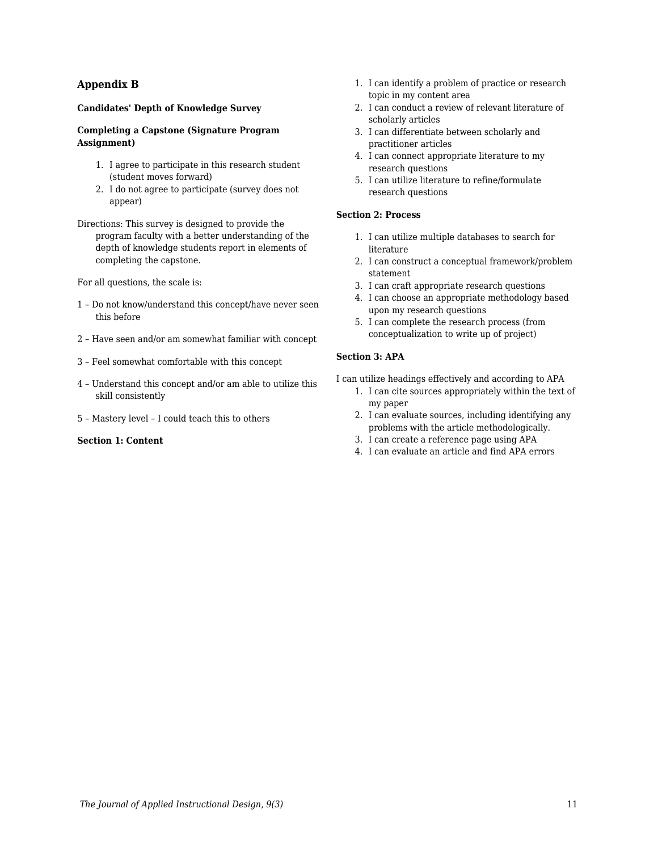## **Appendix B**

### **Candidates' Depth of Knowledge Survey**

### **Completing a Capstone (Signature Program Assignment)**

- 1. I agree to participate in this research student (student moves forward)
- 2. I do not agree to participate (survey does not appear)
- Directions: This survey is designed to provide the program faculty with a better understanding of the depth of knowledge students report in elements of completing the capstone.

For all questions, the scale is:

- 1 Do not know/understand this concept/have never seen this before
- 2 Have seen and/or am somewhat familiar with concept
- 3 Feel somewhat comfortable with this concept
- 4 Understand this concept and/or am able to utilize this skill consistently
- 5 Mastery level I could teach this to others

### **Section 1: Content**

- 1. I can identify a problem of practice or research topic in my content area
- 2. I can conduct a review of relevant literature of scholarly articles
- 3. I can differentiate between scholarly and practitioner articles
- 4. I can connect appropriate literature to my research questions
- 5. I can utilize literature to refine/formulate research questions

### **Section 2: Process**

- 1. I can utilize multiple databases to search for literature
- 2. I can construct a conceptual framework/problem statement
- 3. I can craft appropriate research questions
- 4. I can choose an appropriate methodology based upon my research questions
- 5. I can complete the research process (from conceptualization to write up of project)

#### **Section 3: APA**

I can utilize headings effectively and according to APA

- 1. I can cite sources appropriately within the text of my paper
- 2. I can evaluate sources, including identifying any problems with the article methodologically.
- 3. I can create a reference page using APA
- 4. I can evaluate an article and find APA errors